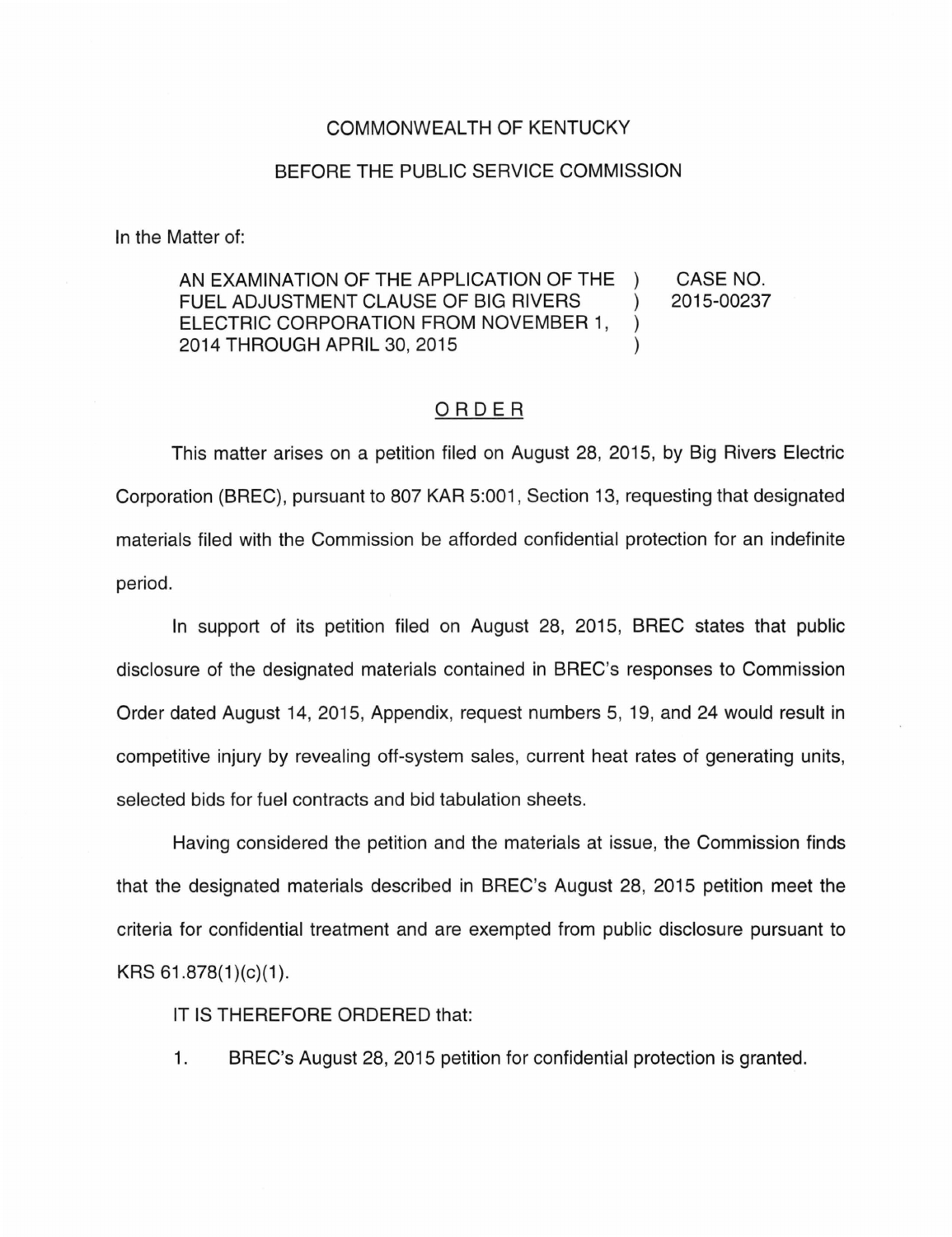## COMMONWEALTH OF KENTUCKY

## BEFORE THE PUBLIC SERVICE COMMISSION

In the Matter of:

AN EXAMINATION OF THE APPLICATION OF THE ) CASE NO. FUEL ADJUSTMENT CLAUSE OF BIG RIVERS ) 2015-00237 ELECTRIC CORPORATION FROM NOVEMBER 1, ) 2014 THROUGH APRIL 30, 2015 )

## ORDER

This matter arises on a petition filed on August 28, 2015, by Big Rivers Electric Corporation (BREC), pursuant to 807 KAR 5:001 , Section 13, requesting that designated materials filed with the Commission be afforded confidential protection for an indefinite period.

In support of its petition filed on August 28, 2015, BREC states that public disclosure of the designated materials contained in BREC's responses to Commission Order dated August 14, 2015, Appendix, request numbers 5, 19, and 24 would result in competitive injury by revealing off-system sales, current heat rates of generating units, selected bids for fuel contracts and bid tabulation sheets.

Having considered the petition and the materials at issue, the Commission finds that the designated materials described in BREC's August 28, 2015 petition meet the criteria for confidential treatment and are exempted from public disclosure pursuant to KRS  $61.878(1)(c)(1)$ .

IT IS THEREFORE ORDERED that:

1. BREC's August 28, 2015 petition for confidential protection is granted.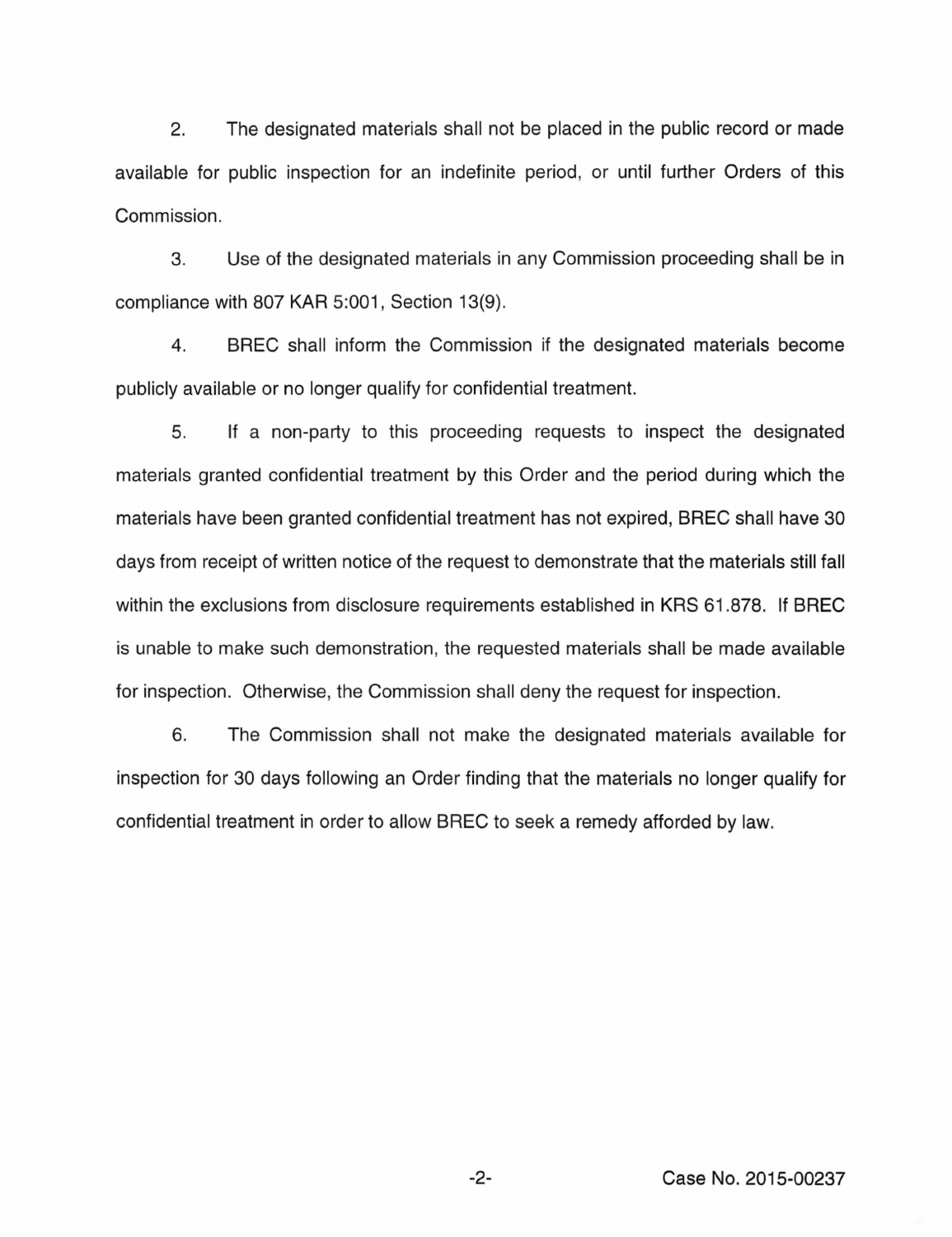2. The designated materials shall not be placed in the public record or made available for public inspection for an indefinite period, or until further Orders of this Commission.

3. Use of the designated materials in any Commission proceeding shall be in compliance with 807 KAR 5:001, Section 13(9).

4. BREC shall inform the Commission if the designated materials become publicly available or no longer qualify for confidential treatment.

5. If a non-party to this proceeding requests to inspect the designated materials granted confidential treatment by this Order and the period during which the materials have been granted confidential treatment has not expired, BREC shall have 30 days from receipt of written notice of the request to demonstrate that the materials still fall within the exclusions from disclosure requirements established in KRS 61.878. If BREC is unable to make such demonstration, the requested materials shall be made available for inspection. Otherwise, the Commission shall deny the request for inspection.

6. The Commission shall not make the designated materials available for inspection for 30 days following an Order finding that the materials no longer qualify for confidential treatment in order to allow BREC to seek a remedy afforded by law.

-2- Case No. 2015-00237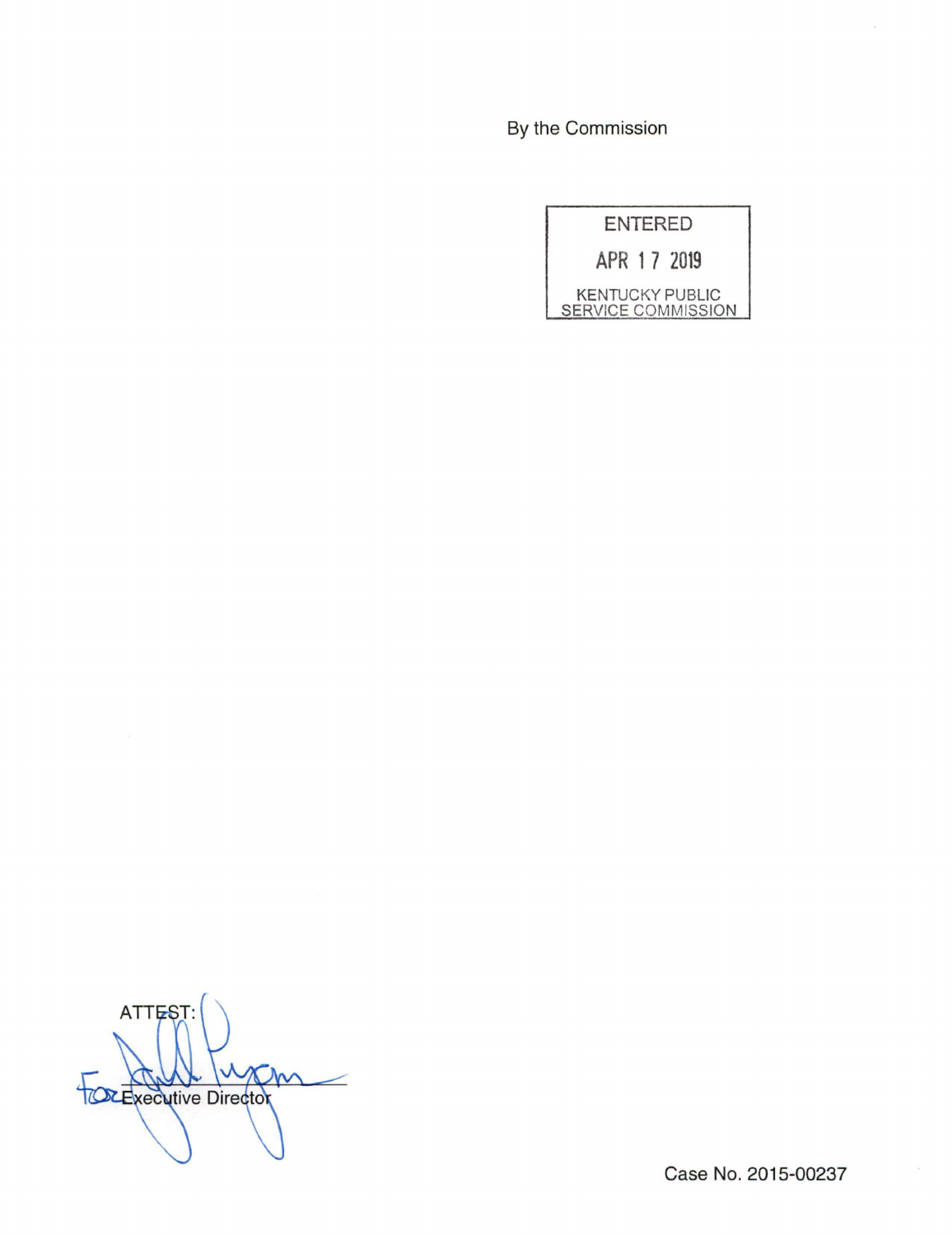By the Commission

| <b>ENTERED</b>                               |
|----------------------------------------------|
| APR 17 2019                                  |
| <b>KENTUCKY PUBLIC</b><br>SERVICE COMMISSION |

**ATTEST** TOR Executive Director  $\mathcal{M}$ 

Case No. 2015-00237